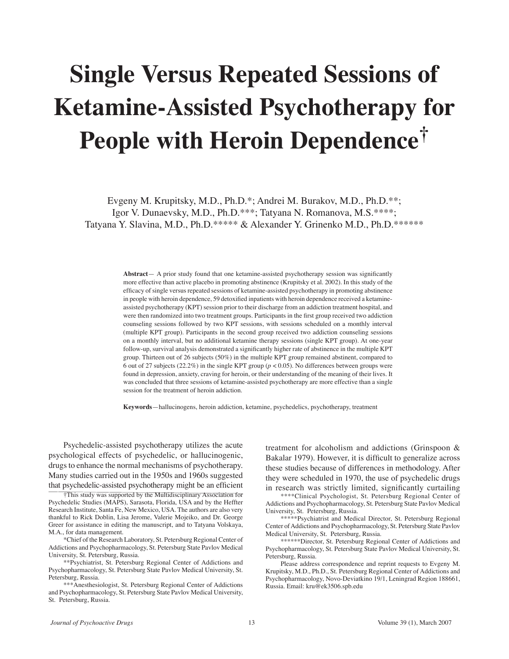# **Single Versus Repeated Sessions of Ketamine-Assisted Psychotherapy for People with Heroin Dependence†**

Evgeny M. Krupitsky, M.D., Ph.D.\*; Andrei M. Burakov, M.D., Ph.D.\*\*; Igor V. Dunaevsky, M.D., Ph.D.\*\*\*; Tatyana N. Romanova, M.S.\*\*\*\*; Tatyana Y. Slavina, M.D., Ph.D.\*\*\*\*\* & Alexander Y. Grinenko M.D., Ph.D.\*\*\*\*\*\*

> **Abstract**— A prior study found that one ketamine-assisted psychotherapy session was significantly more effective than active placebo in promoting abstinence (Krupitsky et al. 2002). In this study of the efficacy of single versus repeated sessions of ketamine-assisted psychotherapy in promoting abstinence in people with heroin dependence, 59 detoxified inpatients with heroin dependence received a ketamineassisted psychotherapy (KPT) session prior to their discharge from an addiction treatment hospital, and were then randomized into two treatment groups. Participants in the first group received two addiction counseling sessions followed by two KPT sessions, with sessions scheduled on a monthly interval (multiple KPT group). Participants in the second group received two addiction counseling sessions on a monthly interval, but no additional ketamine therapy sessions (single KPT group). At one-year follow-up, survival analysis demonstrated a significantly higher rate of abstinence in the multiple KPT group. Thirteen out of 26 subjects (50%) in the multiple KPT group remained abstinent, compared to 6 out of 27 subjects (22.2%) in the single KPT group (*p* < 0.05). No differences between groups were found in depression, anxiety, craving for heroin, or their understanding of the meaning of their lives. It was concluded that three sessions of ketamine-assisted psychotherapy are more effective than a single session for the treatment of heroin addiction.

**Keywords**—hallucinogens, heroin addiction, ketamine, psychedelics, psychotherapy, treatment

 Psychedelic-assisted psychotherapy utilizes the acute psychological effects of psychedelic, or hallucinogenic, drugs to enhance the normal mechanisms of psychotherapy. Many studies carried out in the 1950s and 1960s suggested that psychedelic-assisted psychotherapy might be an efficient

 \*Chief of the Research Laboratory, St. Petersburg Regional Center of Addictions and Psychopharmacology, St. Petersburg State Pavlov Medical University, St. Petersburg, Russia.

 \*\*Psychiatrist, St. Petersburg Regional Center of Addictions and Psychopharmacology, St. Petersburg State Pavlov Medical University, St. Petersburg, Russia.

 \*\*\*Anesthesiologist, St. Petersburg Regional Center of Addictions and Psychopharmacology, St. Petersburg State Pavlov Medical University, St. Petersburg, Russia.

treatment for alcoholism and addictions (Grinspoon & Bakalar 1979). However, it is difficult to generalize across these studies because of differences in methodology. After they were scheduled in 1970, the use of psychedelic drugs in research was strictly limited, significantly curtailing

 \*\*\*\*Clinical Psychologist, St. Petersburg Regional Center of Addictions and Psychopharmacology, St. Petersburg State Pavlov Medical University, St. Petersburg, Russia.

 \*\*\*\*\*Psychiatrist and Medical Director, St. Petersburg Regional Center of Addictions and Psychopharmacology, St. Petersburg State Pavlov Medical University, St. Petersburg, Russia.

 \*\*\*\*\*\*Director, St. Petersburg Regional Center of Addictions and Psychopharmacology, St. Petersburg State Pavlov Medical University, St. Petersburg, Russia.

 Please address correspondence and reprint requests to Evgeny M. Krupitsky, M.D., Ph.D., St. Petersburg Regional Center of Addictions and Psychopharmacology, Novo-Deviatkino 19/1, Leningrad Region 188661, Russia. Email: kru@ek3506.spb.edu

 <sup>†</sup>This study was supported by the Multidisciplinary Association for Psychedelic Studies (MAPS), Sarasota, Florida, USA and by the Heffter Research Institute, Santa Fe, New Mexico, USA. The authors are also very thankful to Rick Doblin, Lisa Jerome, Valerie Mojeiko, and Dr. George Greer for assistance in editing the manuscript, and to Tatyana Volskaya, M.A., for data management.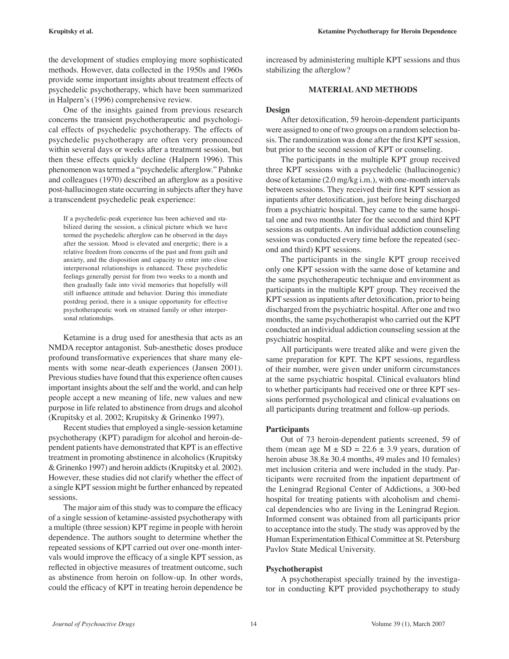the development of studies employing more sophisticated methods. However, data collected in the 1950s and 1960s provide some important insights about treatment effects of psychedelic psychotherapy, which have been summarized in Halpern's (1996) comprehensive review.

 One of the insights gained from previous research concerns the transient psychotherapeutic and psychological effects of psychedelic psychotherapy. The effects of psychedelic psychotherapy are often very pronounced within several days or weeks after a treatment session, but then these effects quickly decline (Halpern 1996). This phenomenon wastermed a "psychedelic afterglow." Pahnke and colleagues (1970) described an afterglow as a positive post-hallucinogen state occurring in subjects after they have a transcendent psychedelic peak experience:

If a psychedelic-peak experience has been achieved and stabilized during the session, a clinical picture which we have termed the psychedelic afterglow can be observed in the days after the session. Mood is elevated and energetic; there is a relative freedom from concerns of the past and from guilt and anxiety, and the disposition and capacity to enter into close interpersonal relationships is enhanced. These psychedelic feelings generally persist for from two weeks to a month and then gradually fade into vivid memories that hopefully will still influence attitude and behavior. During this immediate postdrug period, there is a unique opportunity for effective psychotherapeutic work on strained family or other interpersonal relationships.

 Ketamine is a drug used for anesthesia that acts as an NMDA receptor antagonist. Sub-anesthetic doses produce profound transformative experiences that share many elements with some near-death experiences (Jansen 2001). Previous studies have found that this experience often causes important insights about the self and the world, and can help people accept a new meaning of life, new values and new purpose in life related to abstinence from drugs and alcohol (Krupitsky et al. 2002; Krupitsky & Grinenko 1997).

Recent studies that employed a single-session ketamine psychotherapy (KPT) paradigm for alcohol and heroin-dependent patients have demonstrated that KPT is an effective treatment in promoting abstinence in alcoholics (Krupitsky & Grinenko 1997) and heroin addicts(Krupitsky et al. 2002). However, these studies did not clarify whether the effect of a single KPT session might be further enhanced by repeated sessions.

The major aim of this study was to compare the efficacy of a single session of ketamine-assisted psychotherapy with a multiple (three session) KPT regime in people with heroin dependence. The authors sought to determine whether the repeated sessions of KPT carried out over one-month intervals would improve the efficacy of a single KPT session, as reflected in objective measures of treatment outcome, such as abstinence from heroin on follow-up. In other words, could the efficacy of KPT in treating heroin dependence be

increased by administering multiple KPT sessions and thus stabilizing the afterglow?

## **MATERIAL AND METHODS**

## **Design**

After detoxification, 59 heroin-dependent participants were assigned to one of two groups on a random selection basis. The randomization was done after the first KPT session, but prior to the second session of KPT or counseling.

 The participants in the multiple KPT group received three KPT sessions with a psychedelic (hallucinogenic) dose of ketamine (2.0 mg/kg i.m.), with one-month intervals between sessions. They received their first KPT session as inpatients after detoxification, just before being discharged from a psychiatric hospital. They came to the same hospital one and two months later for the second and third KPT sessions as outpatients. An individual addiction counseling session was conducted every time before the repeated (second and third) KPT sessions.

 The participants in the single KPT group received only one KPT session with the same dose of ketamine and the same psychotherapeutic technique and environment as participants in the multiple KPT group. They received the KPT session as inpatients after detoxification, prior to being discharged from the psychiatric hospital. After one and two months, the same psychotherapist who carried out the KPT conducted an individual addiction counseling session at the psychiatric hospital.

 All participants were treated alike and were given the same preparation for KPT. The KPT sessions, regardless of their number, were given under uniform circumstances at the same psychiatric hospital. Clinical evaluators blind to whether participants had received one or three KPT sessions performed psychological and clinical evaluations on all participants during treatment and follow-up periods.

## **Participants**

 Out of 73 heroin-dependent patients screened, 59 of them (mean age  $M \pm SD = 22.6 \pm 3.9$  years, duration of heroin abuse  $38.8 \pm 30.4$  months, 49 males and 10 females) met inclusion criteria and were included in the study. Participants were recruited from the inpatient department of the Leningrad Regional Center of Addictions, a 300-bed hospital for treating patients with alcoholism and chemical dependencies who are living in the Leningrad Region. Informed consent was obtained from all participants prior to acceptance into the study. The study was approved by the Human Experimentation Ethical Committee at St. Petersburg Pavlov State Medical University.

### **Psychotherapist**

 A psychotherapist specially trained by the investigator in conducting KPT provided psychotherapy to study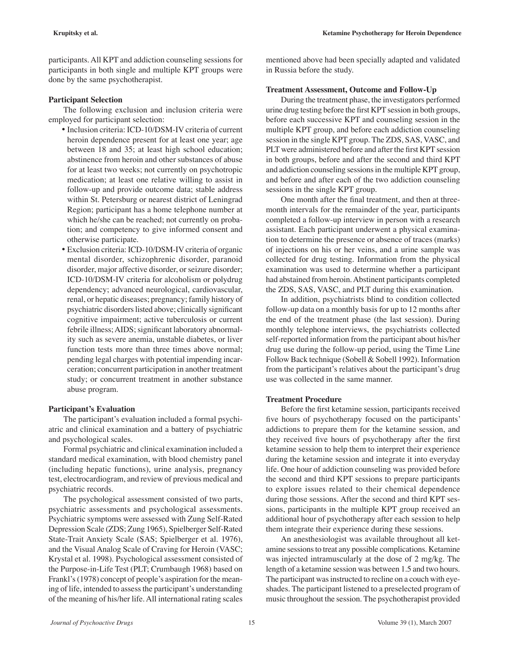participants. All KPT and addiction counseling sessions for participants in both single and multiple KPT groups were done by the same psychotherapist.

## **Participant Selection**

 The following exclusion and inclusion criteria were employed for participant selection:

- • Inclusion criteria: ICD-10/DSM-IV criteria of current heroin dependence present for at least one year; age between 18 and 35; at least high school education; abstinence from heroin and other substances of abuse for at least two weeks; not currently on psychotropic medication; at least one relative willing to assist in follow-up and provide outcome data; stable address within St. Petersburg or nearest district of Leningrad Region; participant has a home telephone number at which he/she can be reached; not currently on probation; and competency to give informed consent and otherwise participate.
- • Exclusion criteria: ICD-10/DSM-IV criteria of organic mental disorder, schizophrenic disorder, paranoid disorder, major affective disorder, or seizure disorder; ICD-10/DSM-IV criteria for alcoholism or polydrug dependency; advanced neurological, cardiovascular, renal, or hepatic diseases; pregnancy; family history of psychiatric disorders listed above; clinically significant cognitive impairment; active tuberculosis or current febrile illness; AIDS; significant laboratory abnormality such as severe anemia, unstable diabetes, or liver function tests more than three times above normal; pending legal charges with potential impending incarceration; concurrent participation in another treatment study; or concurrent treatment in another substance abuse program.

## **Participant's Evaluation**

 The participant's evaluation included a formal psychiatric and clinical examination and a battery of psychiatric and psychological scales.

 Formal psychiatric and clinical examination included a standard medical examination, with blood chemistry panel (including hepatic functions), urine analysis, pregnancy test, electrocardiogram, and review of previous medical and psychiatric records.

 The psychological assessment consisted of two parts, psychiatric assessments and psychological assessments. Psychiatric symptoms were assessed with Zung Self-Rated Depression Scale (ZDS; Zung 1965), Spielberger Self-Rated State-Trait Anxiety Scale (SAS; Spielberger et al. 1976), and the Visual Analog Scale of Craving for Heroin (VASC; Krystal et al. 1998). Psychological assessment consisted of the Purpose-in-Life Test (PLT; Crumbaugh 1968) based on Frankl's(1978) concept of people's aspiration for the meaning of life, intended to assessthe participant's understanding of the meaning of his/her life.All international rating scales

mentioned above had been specially adapted and validated in Russia before the study.

# **Treatment Assessment, Outcome and Follow-Up**

 During the treatment phase, the investigators performed urine drug testing before the first KPT session in both groups, before each successive KPT and counseling session in the multiple KPT group, and before each addiction counseling session in the single KPT group. The ZDS, SAS, VASC, and PLT were administered before and after the first KPT session in both groups, before and after the second and third KPT and addiction counseling sessions in the multiple KPT group, and before and after each of the two addiction counseling sessions in the single KPT group.

One month after the final treatment, and then at threemonth intervals for the remainder of the year, participants completed a follow-up interview in person with a research assistant. Each participant underwent a physical examination to determine the presence or absence of traces (marks) of injections on his or her veins, and a urine sample was collected for drug testing. Information from the physical examination was used to determine whether a participant had abstained from heroin.Abstinent participants completed the ZDS, SAS, VASC, and PLT during this examination.

 In addition, psychiatrists blind to condition collected follow-up data on a monthly basis for up to 12 months after the end of the treatment phase (the last session). During monthly telephone interviews, the psychiatrists collected self-reported information from the participant about his/her drug use during the follow-up period, using the Time Line Follow Back technique (Sobell & Sobell 1992). Information from the participant's relatives about the participant's drug use was collected in the same manner.

# **Treatment Procedure**

Before the first ketamine session, participants received five hours of psychotherapy focused on the participants' addictions to prepare them for the ketamine session, and they received five hours of psychotherapy after the first ketamine session to help them to interpret their experience during the ketamine session and integrate it into everyday life. One hour of addiction counseling was provided before the second and third KPT sessions to prepare participants to explore issues related to their chemical dependence during those sessions. After the second and third KPT sessions, participants in the multiple KPT group received an additional hour of psychotherapy after each session to help them integrate their experience during these sessions.

 An anesthesiologist was available throughout all ketamine sessions to treat any possible complications. Ketamine was injected intramuscularly at the dose of 2 mg/kg. The length of a ketamine session was between 1.5 and two hours. The participant was instructed to recline on a couch with eyeshades. The participant listened to a preselected program of music throughout the session. The psychotherapist provided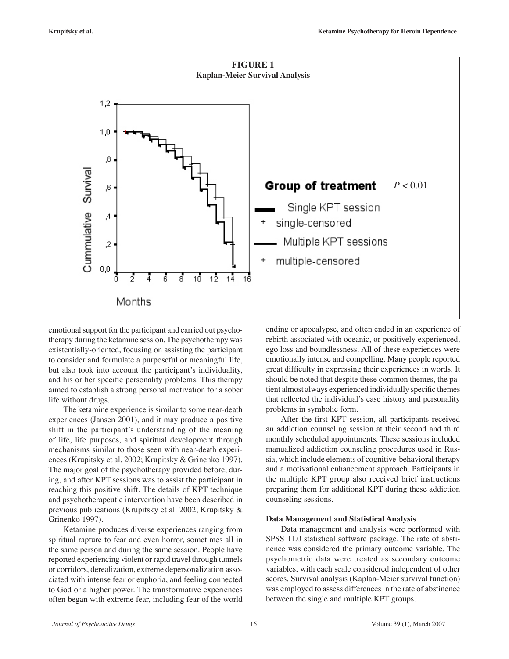

emotional support for the participant and carried out psychotherapy during the ketamine session.The psychotherapy was existentially-oriented, focusing on assisting the participant to consider and formulate a purposeful or meaningful life, but also took into account the participant's individuality, and his or her specific personality problems. This therapy aimed to establish a strong personal motivation for a sober life without drugs.

 The ketamine experience is similar to some near-death experiences (Jansen 2001), and it may produce a positive shift in the participant's understanding of the meaning of life, life purposes, and spiritual development through mechanisms similar to those seen with near-death experiences (Krupitsky et al. 2002; Krupitsky & Grinenko 1997). The major goal of the psychotherapy provided before, during, and after KPT sessions was to assist the participant in reaching this positive shift. The details of KPT technique and psychotherapeutic intervention have been described in previous publications (Krupitsky et al. 2002; Krupitsky & Grinenko 1997).

 Ketamine produces diverse experiences ranging from spiritual rapture to fear and even horror, sometimes all in the same person and during the same session. People have reported experiencing violent or rapid travel through tunnels or corridors, derealization, extreme depersonalization associated with intense fear or euphoria, and feeling connected to God or a higher power. The transformative experiences often began with extreme fear, including fear of the world

ending or apocalypse, and often ended in an experience of rebirth associated with oceanic, or positively experienced, ego loss and boundlessness. All of these experiences were emotionally intense and compelling. Many people reported great difficulty in expressing their experiences in words. It should be noted that despite these common themes, the patient almost always experienced individually specific themes that reflected the individual's case history and personality problems in symbolic form.

After the first KPT session, all participants received an addiction counseling session at their second and third monthly scheduled appointments. These sessions included manualized addiction counseling procedures used in Russia, which include elements of cognitive-behavioral therapy and a motivational enhancement approach. Participants in the multiple KPT group also received brief instructions preparing them for additional KPT during these addiction counseling sessions.

## **Data Management and Statistical Analysis**

 Data management and analysis were performed with SPSS 11.0 statistical software package. The rate of abstinence was considered the primary outcome variable. The psychometric data were treated as secondary outcome variables, with each scale considered independent of other scores. Survival analysis (Kaplan-Meier survival function) was employed to assess differences in the rate of abstinence between the single and multiple KPT groups.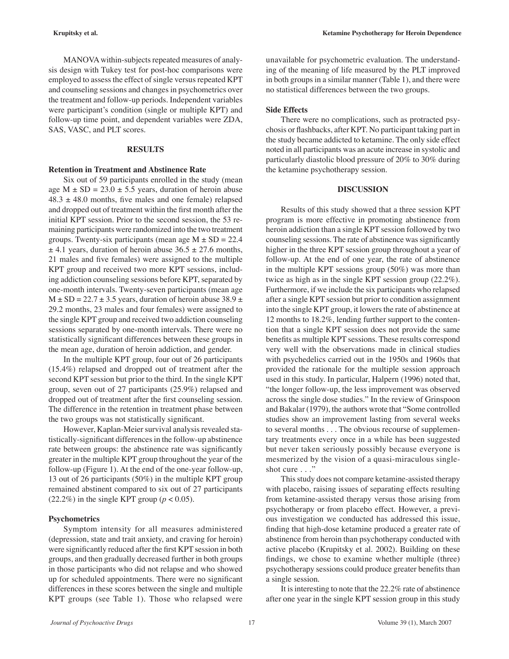MANOVA within-subjects repeated measures of analysis design with Tukey test for post-hoc comparisons were employed to assess the effect of single versus repeated KPT and counseling sessions and changes in psychometrics over the treatment and follow-up periods. Independent variables were participant's condition (single or multiple KPT) and follow-up time point, and dependent variables were ZDA, SAS, VASC, and PLT scores.

## **RESULTS**

## **Retention in Treatment and Abstinence Rate**

 Six out of 59 participants enrolled in the study (mean age  $M \pm SD = 23.0 \pm 5.5$  years, duration of heroin abuse  $48.3 \pm 48.0$  months, five males and one female) relapsed and dropped out of treatment within the first month after the initial KPT session. Prior to the second session, the 53 remaining participants were randomized into the two treatment groups. Twenty-six participants (mean age  $M \pm SD = 22.4$  $\pm$  4.1 years, duration of heroin abuse 36.5  $\pm$  27.6 months, 21 males and five females) were assigned to the multiple KPT group and received two more KPT sessions, including addiction counseling sessions before KPT, separated by one-month intervals. Twenty-seven participants (mean age  $M \pm SD = 22.7 \pm 3.5$  years, duration of heroin abuse 38.9  $\pm$ 29.2 months, 23 males and four females) were assigned to the single KPT group and received two addiction counseling sessions separated by one-month intervals. There were no statistically significant differences between these groups in the mean age, duration of heroin addiction, and gender.

 In the multiple KPT group, four out of 26 participants (15.4%) relapsed and dropped out of treatment after the second KPT session but prior to the third. In the single KPT group, seven out of 27 participants (25.9%) relapsed and dropped out of treatment after the first counseling session. The difference in the retention in treatment phase between the two groups was not statistically significant.

However, Kaplan-Meier survival analysis revealed statistically-significant differences in the follow-up abstinence rate between groups: the abstinence rate was significantly greater in the multiple KPT group throughout the year of the follow-up (Figure 1). At the end of the one-year follow-up, 13 out of 26 participants (50%) in the multiple KPT group remained abstinent compared to six out of 27 participants (22.2%) in the single KPT group ( $p < 0.05$ ).

## **Psychometrics**

 Symptom intensity for all measures administered (depression, state and trait anxiety, and craving for heroin) were significantly reduced after the first KPT session in both groups, and then gradually decreased further in both groups in those participants who did not relapse and who showed up for scheduled appointments. There were no significant differences in these scores between the single and multiple KPT groups (see Table 1). Those who relapsed were unavailable for psychometric evaluation. The understanding of the meaning of life measured by the PLT improved in both groups in a similar manner (Table 1), and there were no statistical differences between the two groups.

## **Side Effects**

 There were no complications, such as protracted psychosis or flashbacks, after KPT. No participant taking part in the study became addicted to ketamine. The only side effect noted in all participants was an acute increase in systolic and particularly diastolic blood pressure of 20% to 30% during the ketamine psychotherapy session.

## **DISCUSSION**

 Results of this study showed that a three session KPT program is more effective in promoting abstinence from heroin addiction than a single KPT session followed by two counseling sessions. The rate of abstinence was significantly higher in the three KPT session group throughout a year of follow-up. At the end of one year, the rate of abstinence in the multiple KPT sessions group (50%) was more than twice as high as in the single KPT session group (22.2%). Furthermore, if we include the six participants who relapsed after a single KPT session but prior to condition assignment into the single KPT group, it lowers the rate of abstinence at 12 months to 18.2%, lending further support to the contention that a single KPT session does not provide the same benefits as multiple KPT sessions. These results correspond very well with the observations made in clinical studies with psychedelics carried out in the 1950s and 1960s that provided the rationale for the multiple session approach used in this study. In particular, Halpern (1996) noted that, "the longer follow-up, the less improvement was observed across the single dose studies." In the review of Grinspoon and Bakalar (1979), the authors wrote that "Some controlled studies show an improvement lasting from several weeks to several months . . . The obvious recourse of supplementary treatments every once in a while has been suggested but never taken seriously possibly because everyone is mesmerized by the vision of a quasi-miraculous singleshot cure . . ."

This study does not compare ketamine-assisted therapy with placebo, raising issues of separating effects resulting from ketamine-assisted therapy versus those arising from psychotherapy or from placebo effect. However, a previous investigation we conducted has addressed this issue, finding that high-dose ketamine produced a greater rate of abstinence from heroin than psychotherapy conducted with active placebo (Krupitsky et al. 2002). Building on these findings, we chose to examine whether multiple (three) psychotherapy sessions could produce greater benefits than a single session.

It is interesting to note that the  $22.2\%$  rate of abstinence after one year in the single KPT session group in this study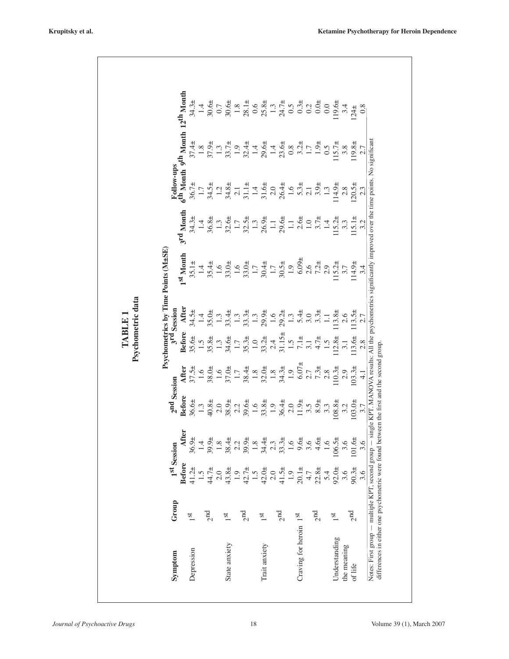|                            | Follow-ups<br><b>6th Month 12th Month 12th Month</b><br><b>6th Month 12th Month</b><br>$36.7\pm$<br>$37.4\pm$<br>$37.4\pm$<br>$37.4\pm$<br>$37.4\pm$<br>$37.4\pm$<br>$37.4\pm$<br>$37.4\pm$<br>$37.4\pm$<br>$37.4\pm$<br>$37.4\pm$<br>$37.4\pm$<br>$37.4\pm$<br>$37.4\pm$<br>$38.7\pm$<br> |              |              |                                                                                                                                                                                                                                                                                                                  |              |                 |              |                        |     |              |     |                   |             |              |     |                                                                                                                                                    |
|----------------------------|--------------------------------------------------------------------------------------------------------------------------------------------------------------------------------------------------------------------------------------------------------------------------------------------|--------------|--------------|------------------------------------------------------------------------------------------------------------------------------------------------------------------------------------------------------------------------------------------------------------------------------------------------------------------|--------------|-----------------|--------------|------------------------|-----|--------------|-----|-------------------|-------------|--------------|-----|----------------------------------------------------------------------------------------------------------------------------------------------------|
|                            |                                                                                                                                                                                                                                                                                            |              |              |                                                                                                                                                                                                                                                                                                                  |              |                 |              |                        |     |              |     |                   |             |              |     |                                                                                                                                                    |
|                            |                                                                                                                                                                                                                                                                                            |              |              |                                                                                                                                                                                                                                                                                                                  |              |                 |              |                        |     |              |     |                   |             |              |     |                                                                                                                                                    |
|                            |                                                                                                                                                                                                                                                                                            |              |              | $\begin{array}{l} \textbf{34.3} \\ 34.3 + 4 \\ 36.8 + 3 \\ 37.3 + 4 \\ 38.3 + 4 \\ 39.3 + 5 \\ 30.4 + 5 \\ 31.5 + 5 \\ 32.5 + 5 \\ 33.5 + 5 \\ 34.5 + 5 \\ 35.5 + 5 \\ 36.5 + 5 \\ 37.5 + 5 \\ 38.5 + 5 \\ 39.5 + 5 \\ 30.5 + 5 \\ 31.5 + 5 \\ 32.5 + 5 \\ 33.5 + 5 \\ 34.5 + 5 \\ 35.5 + 5 \\ 36.5 + 5 \\ 37.5$ |              |                 |              |                        |     |              |     |                   |             |              |     |                                                                                                                                                    |
|                            | Psychometrics by Time Points (M±SE)                                                                                                                                                                                                                                                        |              |              | <b>Month</b><br>35.1±<br>35.1±<br>35.4±<br>35.4±<br>35.4±<br>35.4±<br>35.4±<br>35.4±<br>35.4±<br>35.4±<br>35.4±<br>35.4±<br>35.4±<br>35.4±<br>35.4±<br>35.4±<br>35.4±<br>35.4±<br>35.4±<br>35.4±<br>35.4±<br>35.4±<br>35.4=<br>36.7=<br>37.4<br>37.4<br>30.9=<br>37.4<br>37.4<br>30.9=<br>37.4<br>               |              |                 |              |                        |     |              |     |                   |             |              |     | gle KPT. MANOVA results: All the psychometrics significantly improved over the time points. No significant                                         |
| Psychometric data<br>TABLE | 3 <sup>rd</sup> Session                                                                                                                                                                                                                                                                    |              |              |                                                                                                                                                                                                                                                                                                                  |              |                 |              |                        |     |              |     |                   |             |              |     |                                                                                                                                                    |
|                            |                                                                                                                                                                                                                                                                                            |              |              |                                                                                                                                                                                                                                                                                                                  |              |                 |              |                        |     |              |     |                   |             |              |     |                                                                                                                                                    |
|                            |                                                                                                                                                                                                                                                                                            |              |              | <b>After</b><br>5. 5. 6. 6. 5. 7. 7. 8. 8. 9. 9. 7. 7. 7. 8. 8. 9. 9. 7. 7. 8. 8. 9. 9. 7. 7. 7. 8. 8. 9. 7. 7. 7. 8. 9. 7. 7<br>4. 7. 7. 8. 9. 7. 7. 8. 9. 9. 7. 7. 7. 7. 8. 9. 9. 7. 7. 7. 9. 9. 7. 7. 7. 7. 9. 9. 7. 7. 7. 7. 7. 7.                                                                           |              |                 |              |                        |     |              |     |                   |             |              |     |                                                                                                                                                    |
|                            | 2 <sup>nd</sup> Session<br><b>Before</b>                                                                                                                                                                                                                                                   |              |              | $36.126$ and $36.126$ and $36.126$ and $36.126$ and $36.126$ and $36.126$ and $36.126$ and $36.126$ and $36.126$ and $36.126$ and $36.126$ and $36.126$ and $36.126$ and $36.126$ and $36.126$ and $36.126$ and $36.126$ and                                                                                     |              |                 |              |                        |     |              |     |                   |             |              |     |                                                                                                                                                    |
|                            | After<br>1st Session                                                                                                                                                                                                                                                                       |              |              |                                                                                                                                                                                                                                                                                                                  |              |                 |              |                        | 3.6 | $4.6 \pm$    | 1.6 | $106.5 \pm$       | 3.6         | $101.6\pm$   | 3.6 |                                                                                                                                                    |
|                            | <b>Before</b>                                                                                                                                                                                                                                                                              | $41.2 +$     |              |                                                                                                                                                                                                                                                                                                                  |              |                 |              |                        |     |              |     |                   |             |              | 3.6 |                                                                                                                                                    |
|                            | Group                                                                                                                                                                                                                                                                                      | $1^{\rm st}$ | $2^{\rm nd}$ | <sub>1</sub> st                                                                                                                                                                                                                                                                                                  | $2^{\rm nd}$ | 1 <sup>st</sup> | $2^{\rm nd}$ |                        |     | $2^{\rm nd}$ |     | $1^{\mathrm{st}}$ |             | $2^{\rm nd}$ |     |                                                                                                                                                    |
|                            | Symptom                                                                                                                                                                                                                                                                                    | Depression   |              | State anxiety                                                                                                                                                                                                                                                                                                    |              | Trait anxiety   |              | Craving for heroin 1st |     |              |     | Understanding     | the meaning | of life      |     | differences in either one psychometric were found between the first and the second group.<br>Notes: First group - multiple KPT, second group - sin |